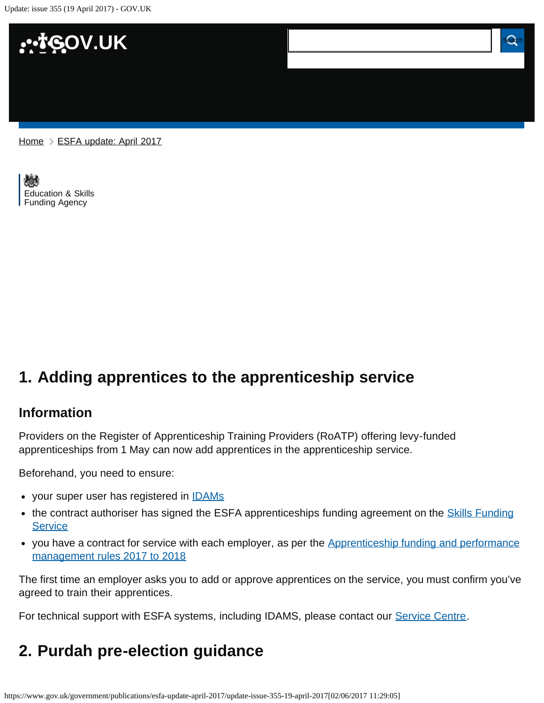Update: issue 355 (19 April 2017) - GOV.UK



[Home](https://www.gov.uk/) > [ESFA update: April 2017](https://www.gov.uk/government/publications/esfa-update-april-2017)

[Education & Skills](https://www.gov.uk/government/organisations/education-and-skills-funding-agency)  [Funding Agency](https://www.gov.uk/government/organisations/education-and-skills-funding-agency)

# <span id="page-0-0"></span>**1. Adding apprentices to the apprenticeship service**

#### **Information**

Providers on the Register of Apprenticeship Training Providers (RoATP) offering levy-funded apprenticeships from 1 May can now add apprentices in the apprenticeship service.

Beforehand, you need to ensure:

- your super user has registered in **IDAMs**
- the contract authoriser has signed the ESFA apprenticeships funding agreement on the **[Skills Funding](https://skillsfunding.service.gov.uk/) [Service](https://skillsfunding.service.gov.uk/)**
- you have a contract for service with each employer, as per the [Apprenticeship funding and performance](https://www.gov.uk/government/publications/apprenticeship-funding-and-performance-management-rules-2017-to-2018) [management rules 2017 to 2018](https://www.gov.uk/government/publications/apprenticeship-funding-and-performance-management-rules-2017-to-2018)

The first time an employer asks you to add or approve apprentices on the service, you must confirm you've agreed to train their apprentices.

For technical support with ESFA systems, including IDAMS, please contact our [Service Centre](mailto:servicedesk@sfa.bis.gov.uk).

## <span id="page-0-1"></span>**2. Purdah pre-election guidance**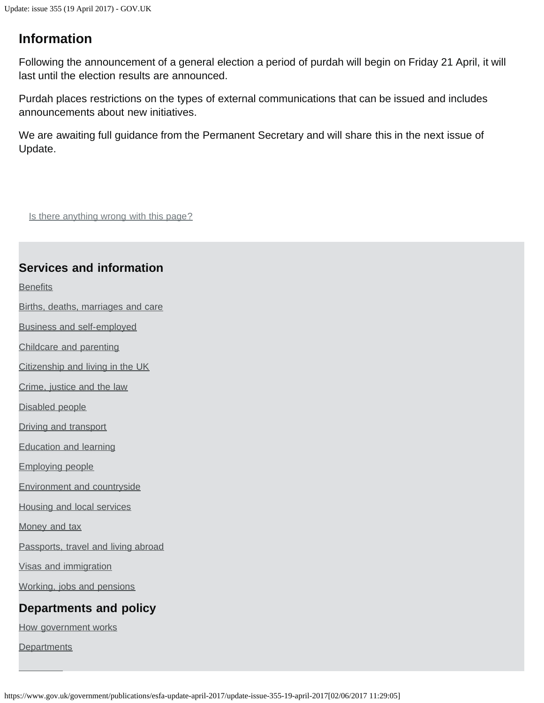### **Information**

Following the announcement of a general election a period of purdah will begin on Friday 21 April, it will last until the election results are announced.

Purdah places restrictions on the types of external communications that can be issued and includes announcements about new initiatives.

We are awaiting full guidance from the Permanent Secretary and will share this in the next issue of Update.

Is there anything wrong with this page?

### **Services and information**

**[Benefits](https://www.gov.uk/browse/benefits)** 

[Births, deaths, marriages and care](https://www.gov.uk/browse/births-deaths-marriages)

[Business and self-employed](https://www.gov.uk/browse/business)

[Childcare and parenting](https://www.gov.uk/browse/childcare-parenting)

[Citizenship and living in the UK](https://www.gov.uk/browse/citizenship)

[Crime, justice and the law](https://www.gov.uk/browse/justice)

[Disabled people](https://www.gov.uk/browse/disabilities)

[Driving and transport](https://www.gov.uk/browse/driving)

[Education and learning](https://www.gov.uk/browse/education)

[Employing people](https://www.gov.uk/browse/employing-people)

[Environment and countryside](https://www.gov.uk/browse/environment-countryside)

[Housing and local services](https://www.gov.uk/browse/housing-local-services)

[Money and tax](https://www.gov.uk/browse/tax)

[Passports, travel and living abroad](https://www.gov.uk/browse/abroad)

[Visas and immigration](https://www.gov.uk/browse/visas-immigration)

[Working, jobs and pensions](https://www.gov.uk/browse/working)

#### **Departments and policy**

[How government works](https://www.gov.uk/government/how-government-works)

**[Departments](https://www.gov.uk/government/organisations)**